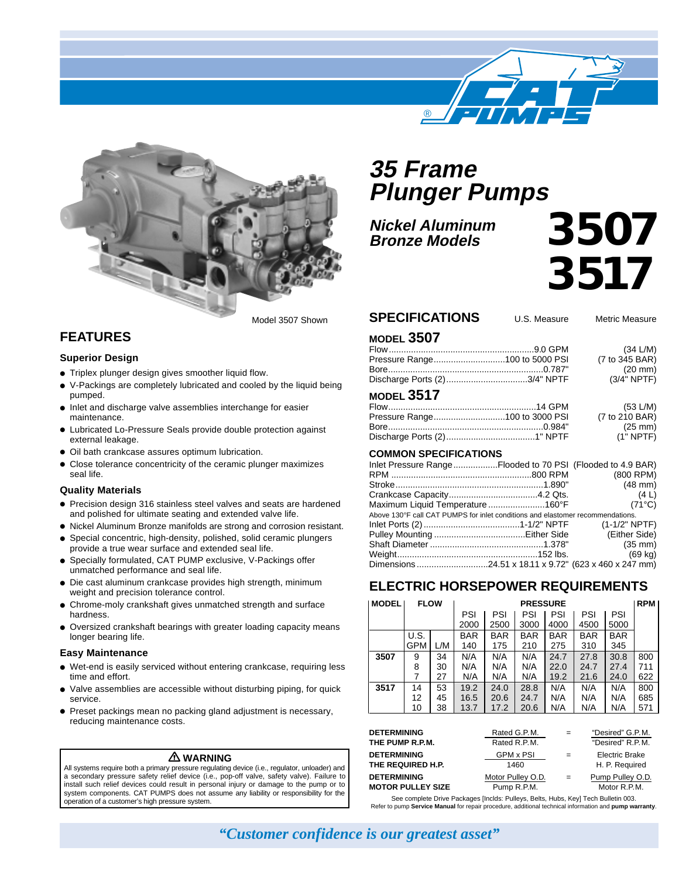



# **35 Frame Plunger Pumps**

**Nickel Aluminum Bronze Models**

# *3507 3517*

#### **SPECIFICATIONS** U.S. Measure Metric Measure

**MODEL 3507**

|  | (34 L/M)       |
|--|----------------|
|  | (7 to 345 BAR) |
|  | (20 mm)        |
|  | $(3/4"$ NPTF)  |
|  |                |

#### **MODEL 3517**

| <b>IVIULL JJ II</b> |                   |
|---------------------|-------------------|
|                     | (53 L/M)          |
|                     | (7 to 210 BAR)    |
|                     | $(25 \text{ mm})$ |
|                     | $(1"$ NPTF)       |
|                     |                   |

#### **COMMON SPECIFICATIONS**

| Inlet Pressure RangeFlooded to 70 PSI (Flooded to 4.9 BAR)                     |                   |
|--------------------------------------------------------------------------------|-------------------|
|                                                                                | (800 RPM)         |
|                                                                                | $(48$ mm $)$      |
|                                                                                | (4L)              |
| Maximum Liquid Temperature160°F                                                | $(71^{\circ}C)$   |
| Above 130°F call CAT PUMPS for inlet conditions and elastomer recommendations. |                   |
|                                                                                | $(1-1/2" NPTF)$   |
|                                                                                | (Either Side)     |
|                                                                                | $(35$ mm)         |
|                                                                                | $(69 \text{ kg})$ |
|                                                                                |                   |
|                                                                                |                   |

## **ELECTRIC HORSEPOWER REQUIREMENTS**

| <b>MODEL</b> | <b>FLOW</b> |     | <b>PRESSURE</b> |            |            |            |            |            | <b>RPM</b> |
|--------------|-------------|-----|-----------------|------------|------------|------------|------------|------------|------------|
|              |             |     | PSI             | PSI        | PSI        | PSI        | PSI        | PSI        |            |
|              |             |     | 2000            | 2500       | 3000       | 4000       | 4500       | 5000       |            |
|              | U.S.        |     | <b>BAR</b>      | <b>BAR</b> | <b>BAR</b> | <b>BAR</b> | <b>BAR</b> | <b>BAR</b> |            |
|              | GPM         | L/M | 140             | 175        | 210        | 275        | 310        | 345        |            |
| 3507         | 9           | 34  | N/A             | N/A        | N/A        | 24.7       | 27.8       | 30.8       | 800        |
|              | 8           | 30  | N/A             | N/A        | N/A        | 22.0       | 24.7       | 27.4       | 711        |
|              | 7           | 27  | N/A             | N/A        | N/A        | 19.2       | 21.6       | 24.0       | 622        |
| 3517         | 14          | 53  | 19.2            | 24.0       | 28.8       | N/A        | N/A        | N/A        | 800        |
|              | 12          | 45  | 16.5            | 20.6       | 24.7       | N/A        | N/A        | N/A        | 685        |
|              | 10          | 38  | 13.7            | 17.2       | 20.6       | N/A        | N/A        | N/A        | 571        |

| <b>DETERMINING</b>       | Rated G.P.M.      | $=$ | "Desired" G.P.M. |
|--------------------------|-------------------|-----|------------------|
| THE PUMP R.P.M.          | Rated R.P.M.      |     | "Desired" R.P.M. |
| <b>DETERMINING</b>       | <b>GPM x PSI</b>  | $=$ | Electric Brake   |
| THE REQUIRED H.P.        | 1460              |     | H. P. Required   |
| <b>DETERMINING</b>       | Motor Pulley O.D. | $=$ | Pump Pulley O.D. |
| <b>MOTOR PULLEY SIZE</b> | Pump R.P.M.       |     | Motor R.P.M.     |

See complete Drive Packages [Inclds: Pulleys, Belts, Hubs, Key] Tech Bulletin 003. Refer to pump **Service Manual** for repair procedure, additional technical information and **pump warranty**.

# **FEATURES**

#### **Superior Design**

- Triplex plunger design gives smoother liquid flow.
- V-Packings are completely lubricated and cooled by the liquid being pumped.
- Inlet and discharge valve assemblies interchange for easier maintenance.
- Lubricated Lo-Pressure Seals provide double protection against external leakage.
- Oil bath crankcase assures optimum lubrication.
- Close tolerance concentricity of the ceramic plunger maximizes seal life.

#### **Quality Materials**

- Precision design 316 stainless steel valves and seats are hardened and polished for ultimate seating and extended valve life.
- Nickel Aluminum Bronze manifolds are strong and corrosion resistant.
- Special concentric, high-density, polished, solid ceramic plungers provide a true wear surface and extended seal life.
- Specially formulated, CAT PUMP exclusive, V-Packings offer unmatched performance and seal life.
- Die cast aluminum crankcase provides high strength, minimum weight and precision tolerance control.
- Chrome-moly crankshaft gives unmatched strength and surface hardness.
- Oversized crankshaft bearings with greater loading capacity means longer bearing life.

#### **Easy Maintenance**

- Wet-end is easily serviced without entering crankcase, requiring less time and effort.
- Valve assemblies are accessible without disturbing piping, for quick service.
- Preset packings mean no packing gland adjustment is necessary, reducing maintenance costs.

#### **WARNING**

All systems require both a primary pressure regulating device (i.e., regulator, unloader) and a secondary pressure safety relief device (i.e., pop-off valve, safety valve). Failure to install such relief devices could result in personal injury or damage to the pump or to system components. CAT PUMPS does not assume any liability or responsibility for the operation of a customer's high pressure system.

*"Customer confidence is our greatest asset"*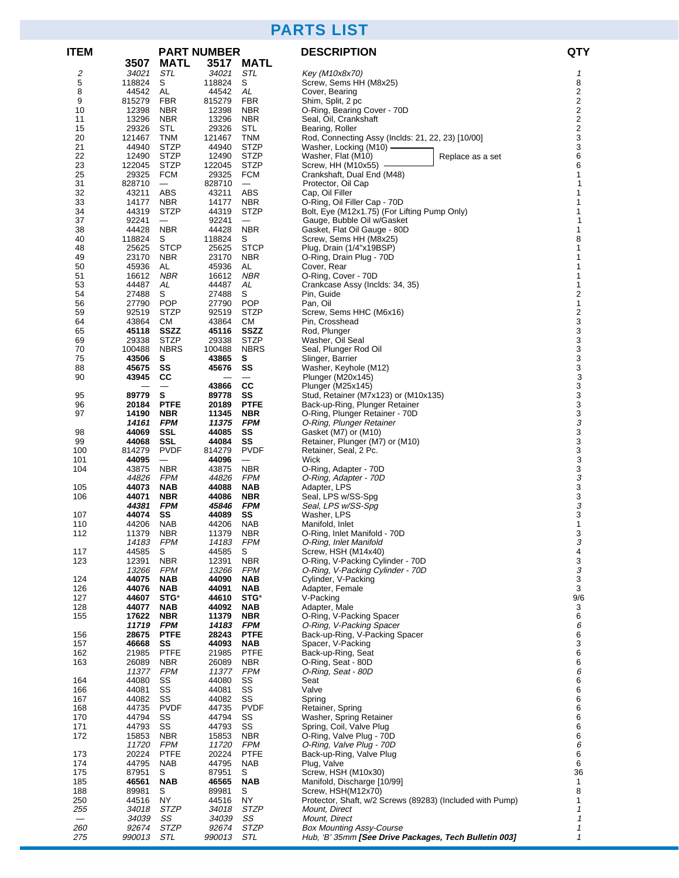# **PARTS LIST**

| <b>ITEM</b>              |                 |                                        | <b>PART NUMBER</b> |                                 | <b>DESCRIPTION</b>                                        | <b>QTY</b>                                         |
|--------------------------|-----------------|----------------------------------------|--------------------|---------------------------------|-----------------------------------------------------------|----------------------------------------------------|
|                          | 3507            | <b>MATL</b>                            | 3517               | <b>MATL</b>                     |                                                           |                                                    |
| 2                        | 34021           | STL                                    | 34021              | STL                             | Key (M10x8x70)                                            | 1                                                  |
| 5                        | 118824          | S                                      | 118824             | S                               | Screw, Sems HH (M8x25)                                    | 8                                                  |
| 8                        | 44542<br>815279 | AL                                     | 44542              | AL                              | Cover, Bearing                                            | 2                                                  |
| 9<br>10                  | 12398           | <b>FBR</b><br>NBR                      | 815279<br>12398    | <b>FBR</b><br><b>NBR</b>        | Shim, Split, 2 pc<br>O-Ring, Bearing Cover - 70D          | $\overline{\mathbf{c}}$<br>$\overline{\mathbf{c}}$ |
| 11                       | 13296           | NBR                                    | 13296              | <b>NBR</b>                      | Seal, Oil, Crankshaft                                     | 2                                                  |
| 15                       | 29326           | <b>STL</b>                             | 29326              | STL                             | Bearing, Roller                                           | $\overline{\mathbf{c}}$                            |
| 20                       | 121467          | TNM                                    | 121467             | <b>TNM</b>                      | Rod, Connecting Assy (Inclds: 21, 22, 23) [10/00]         | 3                                                  |
| 21                       | 44940           | <b>STZP</b>                            | 44940              | <b>STZP</b>                     | Washer, Locking (M10) -                                   | 3                                                  |
| 22                       | 12490           | <b>STZP</b>                            | 12490              | <b>STZP</b>                     | Washer, Flat (M10)<br>Replace as a set                    | 6                                                  |
| 23                       | 122045          | <b>STZP</b>                            | 122045             | <b>STZP</b>                     | Screw, HH (M10x55) -                                      | 6                                                  |
| 25<br>31                 | 29325<br>828710 | <b>FCM</b><br>$\overline{\phantom{m}}$ | 29325<br>828710    | FCM<br>$\overline{\phantom{m}}$ | Crankshaft, Dual End (M48)<br>Protector, Oil Cap          | 1<br>1                                             |
| 32                       | 43211           | ABS                                    | 43211              | ABS                             | Cap, Oil Filler                                           | 1                                                  |
| 33                       | 14177           | <b>NBR</b>                             | 14177              | <b>NBR</b>                      | O-Ring, Oil Filler Cap - 70D                              | 1                                                  |
| 34                       | 44319           | <b>STZP</b>                            | 44319              | <b>STZP</b>                     | Bolt, Eye (M12x1.75) (For Lifting Pump Only)              | 1                                                  |
| 37                       | 92241           |                                        | 92241              |                                 | Gauge, Bubble Oil w/Gasket                                | 1                                                  |
| 38                       | 44428           | <b>NBR</b>                             | 44428              | <b>NBR</b>                      | Gasket, Flat Oil Gauge - 80D                              | 1                                                  |
| 40                       | 118824          | S                                      | 118824             | S                               | Screw, Sems HH (M8x25)                                    | 8                                                  |
| 48                       | 25625           | <b>STCP</b>                            | 25625              | <b>STCP</b>                     | Plug, Drain (1/4"x19BSP)                                  | 1                                                  |
| 49<br>50                 | 23170<br>45936  | <b>NBR</b><br>AL                       | 23170<br>45936     | <b>NBR</b><br>AL                | O-Ring, Drain Plug - 70D<br>Cover, Rear                   | 1<br>1                                             |
| 51                       | 16612           | <b>NBR</b>                             | 16612              | <b>NBR</b>                      | O-Ring, Cover - 70D                                       | 1                                                  |
| 53                       | 44487           | AL                                     | 44487              | AL                              | Crankcase Assy (Inclds: 34, 35)                           | 1                                                  |
| 54                       | 27488           | S                                      | 27488              | S                               | Pin, Guide                                                | 2                                                  |
| 56                       | 27790           | <b>POP</b>                             | 27790              | <b>POP</b>                      | Pan, Oil                                                  | $\mathbf{1}$                                       |
| 59                       | 92519           | <b>STZP</b>                            | 92519              | <b>STZP</b>                     | Screw, Sems HHC (M6x16)                                   | $\frac{2}{3}$                                      |
| 64                       | 43864           | <b>CM</b>                              | 43864              | <b>CM</b>                       | Pin, Crosshead                                            |                                                    |
| 65                       | 45118           | SSZZ                                   | 45116              | <b>SSZZ</b>                     | Rod, Plunger                                              | 3                                                  |
| 69<br>70                 | 29338<br>100488 | <b>STZP</b><br><b>NBRS</b>             | 29338<br>100488    | <b>STZP</b><br><b>NBRS</b>      | Washer, Oil Seal<br>Seal, Plunger Rod Oil                 | 3<br>3                                             |
| 75                       | 43506           | s                                      | 43865              | s                               | Slinger, Barrier                                          |                                                    |
| 88                       | 45675           | SS                                     | 45676              | SS                              | Washer, Keyhole (M12)                                     | 3<br>3                                             |
| 90                       | 43945           | CС                                     |                    |                                 | Plunger (M20x145)                                         | 3                                                  |
|                          |                 |                                        | 43866              | CС                              | Plunger (M25x145)                                         | 3                                                  |
| 95                       | 89779           | s                                      | 89778              | SS                              | Stud, Retainer (M7x123) or (M10x135)                      | 3                                                  |
| 96                       | 20184           | <b>PTFE</b>                            | 20189              | <b>PTFE</b>                     | Back-up-Ring, Plunger Retainer                            | 3                                                  |
| 97                       | 14190           | <b>NBR</b>                             | 11345              | <b>NBR</b>                      | O-Ring, Plunger Retainer - 70D                            | 3                                                  |
| 98                       | 14161<br>44069  | <b>FPM</b><br>SSL                      | 11375<br>44085     | <b>FPM</b><br>SS                | O-Ring, Plunger Retainer<br>Gasket (M7) or (M10)          | $\boldsymbol{\mathcal{S}}$                         |
| 99                       | 44068           | SSL                                    | 44084              | SS                              | Retainer, Plunger (M7) or (M10)                           | $\frac{3}{3}$                                      |
| 100                      | 814279          | <b>PVDF</b>                            | 814279             | <b>PVDF</b>                     | Retainer, Seal, 2 Pc.                                     | 3                                                  |
| 101                      | 44095           | $\overline{\phantom{m}}$               | 44096              |                                 | Wick                                                      | 3                                                  |
| 104                      | 43875           | <b>NBR</b>                             | 43875              | <b>NBR</b>                      | O-Ring, Adapter - 70D                                     | 3                                                  |
|                          | 44826           | <b>FPM</b>                             | 44826              | <b>FPM</b>                      | O-Ring, Adapter - 70D                                     | 3                                                  |
| 105                      | 44073           | <b>NAB</b>                             | 44088              | <b>NAB</b>                      | Adapter, LPS                                              | 3                                                  |
| 106                      | 44071           | <b>NBR</b>                             | 44086<br>45846     | <b>NBR</b>                      | Seal, LPS w/SS-Spg                                        | 3                                                  |
| 107                      | 44381<br>44074  | <b>FPM</b><br>SS                       | 44089              | <b>FPM</b><br>SS                | Seal, LPS w/SS-Spg<br>Washer, LPS                         | 3<br>3                                             |
| 110                      | 44206           | <b>NAB</b>                             | 44206              | <b>NAB</b>                      | Manifold, Inlet                                           | 1                                                  |
| 112                      | 11379           | <b>NBR</b>                             | 11379              | <b>NBR</b>                      | O-Ring, Inlet Manifold - 70D                              | 3                                                  |
|                          | 14183           | FPM                                    | 14183              | FPM                             | O-Ring, Inlet Manifold                                    | 3                                                  |
| 117                      | 44585           | S                                      | 44585              | S                               | Screw, HSH (M14x40)                                       | 4                                                  |
| 123                      | 12391           | <b>NBR</b>                             | 12391              | <b>NBR</b>                      | O-Ring, V-Packing Cylinder - 70D                          | 3                                                  |
|                          | 13266           | <b>FPM</b>                             | 13266              | <b>FPM</b>                      | O-Ring, V-Packing Cylinder - 70D                          | 3                                                  |
| 124                      | 44075           | <b>NAB</b><br><b>NAB</b>               | 44090              | <b>NAB</b>                      | Cylinder, V-Packing                                       | $\mathsf 3$<br>3                                   |
| 126<br>127               | 44076<br>44607  | STG*                                   | 44091<br>44610     | NAB<br>STG*                     | Adapter, Female<br>V-Packing                              | 9/6                                                |
| 128                      | 44077           | <b>NAB</b>                             | 44092              | NAB                             | Adapter, Male                                             | 3                                                  |
| 155                      | 17622           | <b>NBR</b>                             | 11379              | <b>NBR</b>                      | O-Ring, V-Packing Spacer                                  | 6                                                  |
|                          | 11719           | <b>FPM</b>                             | 14183 FPM          |                                 | O-Ring, V-Packing Spacer                                  | 6                                                  |
| 156                      | 28675           | <b>PTFE</b>                            | 28243              | <b>PTFE</b>                     | Back-up-Ring, V-Packing Spacer                            | 6                                                  |
| 157                      | 46668           | SS                                     | 44093              | <b>NAB</b>                      | Spacer, V-Packing                                         | 3                                                  |
| 162                      | 21985           | <b>PTFE</b>                            | 21985              | <b>PTFE</b>                     | Back-up-Ring, Seat                                        | 6                                                  |
| 163                      | 26089<br>11377  | <b>NBR</b><br><b>FPM</b>               | 26089<br>11377     | NBR<br>FPM                      | O-Ring, Seat - 80D<br>O-Ring, Seat - 80D                  | 6<br>6                                             |
| 164                      | 44080           | SS                                     | 44080              | SS                              | Seat                                                      | 6                                                  |
| 166                      | 44081           | SS                                     | 44081              | SS                              | Valve                                                     | 6                                                  |
| 167                      | 44082           | SS                                     | 44082              | SS                              | Spring                                                    | 6                                                  |
| 168                      | 44735           | <b>PVDF</b>                            | 44735              | <b>PVDF</b>                     | Retainer, Spring                                          | 6                                                  |
| 170                      | 44794           | SS                                     | 44794              | SS                              | Washer, Spring Retainer                                   | 6                                                  |
| 171                      | 44793           | SS                                     | 44793              | SS                              | Spring, Coil, Valve Plug                                  | 6                                                  |
| 172                      | 15853           | <b>NBR</b>                             | 15853              | <b>NBR</b>                      | O-Ring, Valve Plug - 70D                                  | 6                                                  |
|                          | 11720<br>20224  | <b>FPM</b><br><b>PTFE</b>              | 11720<br>20224     | FPM<br><b>PTFE</b>              | O-Ring, Valve Plug - 70D                                  | 6<br>6                                             |
| 173<br>174               | 44795           | NAB                                    | 44795              | NAB                             | Back-up-Ring, Valve Plug<br>Plug, Valve                   | 6                                                  |
| 175                      | 87951           | S                                      | 87951              | S                               | Screw, HSH (M10x30)                                       | 36                                                 |
| 185                      | 46561           | <b>NAB</b>                             | 46565              | <b>NAB</b>                      | Manifold, Discharge [10/99]                               | $\mathbf{1}$                                       |
| 188                      | 89981           | S                                      | 89981              | S                               | Screw, HSH(M12x70)                                        | 8                                                  |
| 250                      | 44516           | ΝY                                     | 44516              | ΝY                              | Protector, Shaft, w/2 Screws (89283) (Included with Pump) | $\mathbf{1}$                                       |
| 255                      | 34018           | STZP                                   | 34018              | STZP                            | Mount, Direct                                             | 1                                                  |
| $\overline{\phantom{0}}$ | 34039           | SS                                     | 34039              | SS                              | Mount, Direct                                             | $\boldsymbol{\mathcal{I}}$                         |
| 260                      | 92674           | <b>STZP</b>                            | 92674              | STZP                            | <b>Box Mounting Assy-Course</b>                           | $\mathbf{1}$                                       |

275 990013 STL 990013 STL Hub, 'B' 35mm **[See Drive Packages, Tech Bulletin 003]** 1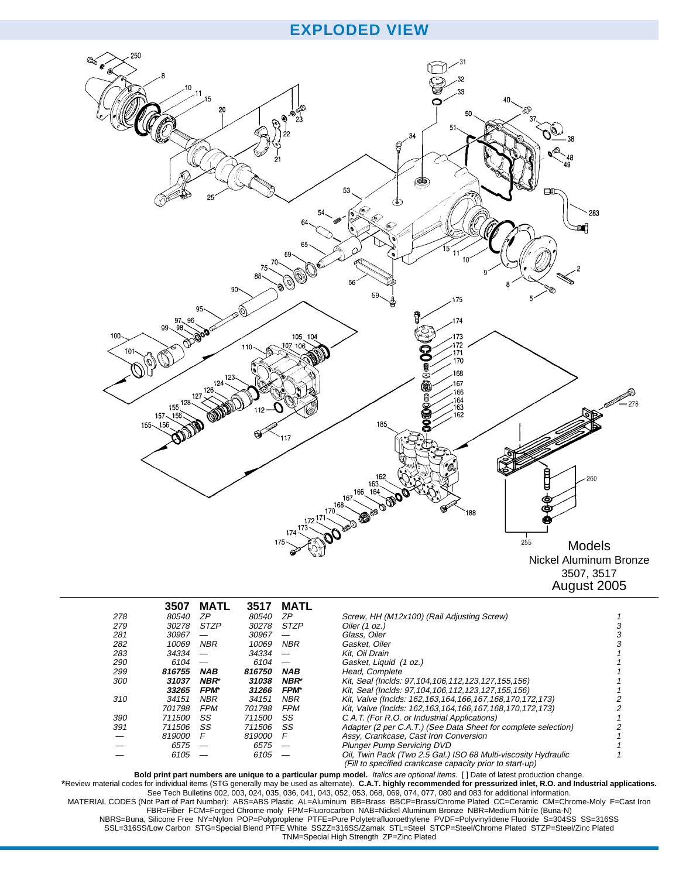## **EXPLODED VIEW**



|            | 3507   | <b>MATL</b> | 3517         | MATL        |                                                                                                                            |  |
|------------|--------|-------------|--------------|-------------|----------------------------------------------------------------------------------------------------------------------------|--|
| 278        | 80540  | ΖP          | <i>80540</i> | ΖP          | Screw, HH (M12x100) (Rail Adjusting Screw)                                                                                 |  |
| 279        | 30278  | <b>STZP</b> | 30278        | <b>STZP</b> | Oiler (1 oz.)                                                                                                              |  |
| 281        | 30967  |             | 30967        |             | Glass, Oiler                                                                                                               |  |
| 282        | 10069  | <b>NBR</b>  | 10069        | <b>NBR</b>  | Gasket, Oiler                                                                                                              |  |
| 283        | 34334  |             | 34334        |             | Kit. Oil Drain                                                                                                             |  |
| <i>290</i> | 6104   |             | 6104         |             | Gasket, Liquid (1 oz.)                                                                                                     |  |
| 299        | 816755 | <b>NAB</b>  | 816750       | <b>NAB</b>  | Head, Complete                                                                                                             |  |
| 300        | 31037  | NBR*        | 31038        | <b>NBR*</b> | Kit, Seal (Inclds: 97, 104, 106, 112, 123, 127, 155, 156)                                                                  |  |
|            | 33265  | <b>FPM*</b> | 31266        | <b>FPM*</b> | Kit, Seal (Inclds: 97, 104, 106, 112, 123, 127, 155, 156)                                                                  |  |
| 310        | 34151  | <b>NBR</b>  | 34151        | <b>NBR</b>  | Kit, Valve (Inclds: 162, 163, 164, 166, 167, 168, 170, 172, 173)                                                           |  |
|            | 701798 | <b>FPM</b>  | 701798       | <b>FPM</b>  | Kit, Valve (Inclds: 162, 163, 164, 166, 167, 168, 170, 172, 173)                                                           |  |
| 390        | 711500 | SS          | 711500       | SS          | C.A.T. (For R.O. or Industrial Applications)                                                                               |  |
| 391        | 711506 | SS          | 711506       | SS          | Adapter (2 per C.A.T.) (See Data Sheet for complete selection)                                                             |  |
|            | 819000 | F           | 819000       | F           | Assy, Crankcase, Cast Iron Conversion                                                                                      |  |
|            | 6575   |             | 6575         |             | <b>Plunger Pump Servicing DVD</b>                                                                                          |  |
|            | 6105   |             | 6105         |             | Oil, Twin Pack (Two 2.5 Gal.) ISO 68 Multi-viscosity Hydraulic<br>(Fill to specified crankcase capacity prior to start-up) |  |

Bold print part numbers are unique to a particular pump model. Italics are optional items. [] Date of latest production change.<br>\*Review material codes for individual items (STG generally may be used as alternate). C.A.T. h MATERIAL CODES (Not Part of Part Number): ABS=ABS Plastic AL=Aluminum BB=Brass BBCP=Brass/Chrome Plated CC=Ceramic CM=Chrome-Moly F=Cast Iron FBR=Fiber FCM=Forged Chrome-moly FPM=Fluorocarbon NAB=Nickel Aluminum Bronze NBR=Medium Nitrile (Buna-N) NBRS=Buna, Silicone Free NY=Nylon POP=Polyproplene PTFE=Pure Polytetrafluoroethylene PVDF=Polyvinylidene Fluoride S=304SS SS=316SS SSL=316SS/Low Carbon STG=Special Blend PTFE White SSZZ=316SS/Zamak STL=Steel STCP=Steel/Chrome Plated STZP=Steel/Zinc Plated TNM=Special High Strength ZP=Zinc Plated